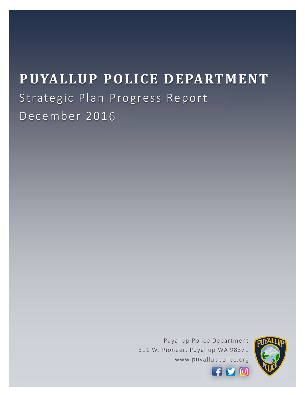# **PUYALLUP POLICE DEPARTMENT** Strategic Plan Progress Report December 2016

Puyallup Police Department 311 W. Pioneer, Puyallup WA 98371 www.puyalluppolice.org



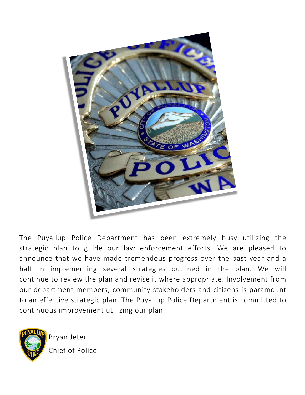

The Puyallup Police Department has been extremely busy utilizing the strategic plan to guide our law enforcement efforts. We are pleased to announce that we have made tremendous progress over the past year and a half in implementing several strategies outlined in the plan. We will continue to review the plan and revise it where appropriate. Involvement from our department members, community stakeholders and citizens is paramount to an effective strategic plan. The Puyallup Police Department is committed to continuous improvement utilizing our plan.



Bryan Jeter Chief of Police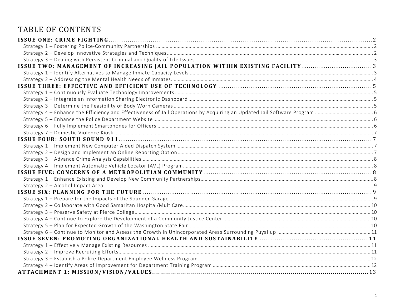# TABLE OF CONTENTS

| ISSUE TWO: MANAGEMENT OF INCREASING JAIL POPULATION WITHIN EXISTING FACILITY 3 |  |
|--------------------------------------------------------------------------------|--|
|                                                                                |  |
|                                                                                |  |
|                                                                                |  |
|                                                                                |  |
|                                                                                |  |
|                                                                                |  |
|                                                                                |  |
|                                                                                |  |
|                                                                                |  |
|                                                                                |  |
|                                                                                |  |
|                                                                                |  |
|                                                                                |  |
|                                                                                |  |
|                                                                                |  |
|                                                                                |  |
|                                                                                |  |
|                                                                                |  |
|                                                                                |  |
|                                                                                |  |
|                                                                                |  |
|                                                                                |  |
|                                                                                |  |
|                                                                                |  |
|                                                                                |  |
|                                                                                |  |
|                                                                                |  |
|                                                                                |  |
|                                                                                |  |
|                                                                                |  |
|                                                                                |  |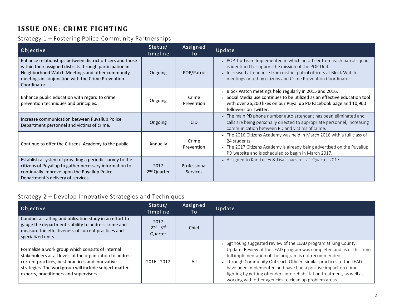# **ISSUE ONE: CRIME FIGHTING**

## Strategy 1 – Fostering Police‐Community Partnerships

| Objective                                                                                                                                                                                                                                     | Status/<br>Timeline             | Assigned<br>To                  | Update                                                                                                                                                                                                                                                                |
|-----------------------------------------------------------------------------------------------------------------------------------------------------------------------------------------------------------------------------------------------|---------------------------------|---------------------------------|-----------------------------------------------------------------------------------------------------------------------------------------------------------------------------------------------------------------------------------------------------------------------|
| Enhance relationships between district officers and those<br>within their assigned districts through participation in<br>Neighborhood Watch Meetings and other community<br>meetings in conjunction with the Crime Prevention<br>Coordinator. | Ongoing                         | POP/Patrol                      | • POP Tip Team Implemented in which an officer from each patrol squad<br>is identified to support the mission of the POP Unit.<br>• Increased attendance from district patrol officers at Block Watch<br>meetings noted by citizens and Crime Prevention Coordinator. |
| Enhance public education with regard to crime<br>prevention techniques and principles.                                                                                                                                                        | Ongoing                         | Crime<br>Prevention             | . Block Watch meetings held regularly in 2015 and 2016.<br>• Social Media use continues to be utilized as an effective education tool<br>with over 26,200 likes on our Puyallup PD Facebook page and 10,900<br>followers on Twitter.                                  |
| Increase communication between Puyallup Police<br>Department personnel and victims of crime.                                                                                                                                                  | Ongoing                         | <b>CID</b>                      | • The main PD phone number auto attendant has been eliminated and<br>calls are being personally directed to appropriate personnel, increasing<br>communication between PD and victims of crime.                                                                       |
| Continue to offer the Citizens' Academy to the public.                                                                                                                                                                                        | Annually                        | Crime<br>Prevention             | • The 2016 Citizens Academy was held in March 2016 with a full class of<br>24 students.<br>• The 2017 Citizens Academy is already being advertised on the Puyallup<br>PD website and is scheduled to begin in March 2017.                                             |
| Establish a system of providing a periodic survey to the<br>citizens of Puyallup to gather necessary information to<br>continually improve upon the Puyallup Police<br>Department's delivery of services.                                     | 2017<br>2 <sup>nd</sup> Quarter | Professional<br><b>Services</b> | • Assigned to Kari Lucey & Lisa Isaacs for 2 <sup>nd</sup> Quarter 2017.                                                                                                                                                                                              |

## Strategy 2 – Develop Innovative Strategies and Techniques

| Objective                                                                                                                                                                                                                                                              | Status/<br>Timeline            | Assigned<br>To | Update                                                                                                                                                                                                                                                                                                                                                                                                                                                                           |
|------------------------------------------------------------------------------------------------------------------------------------------------------------------------------------------------------------------------------------------------------------------------|--------------------------------|----------------|----------------------------------------------------------------------------------------------------------------------------------------------------------------------------------------------------------------------------------------------------------------------------------------------------------------------------------------------------------------------------------------------------------------------------------------------------------------------------------|
| Conduct a staffing and utilization study in an effort to<br>gauge the department's ability to address crime and<br>measure the effectiveness of current practices and<br>specialized units.                                                                            | 2017<br>$2nd - 3rd$<br>Quarter | Chief          |                                                                                                                                                                                                                                                                                                                                                                                                                                                                                  |
| Formalize a work group which consists of internal<br>stakeholders at all levels of the organization to address<br>current practices, best practices and innovative<br>strategies. The workgroup will include subject matter<br>experts, practitioners and supervisors. | $2016 - 2017$                  | All            | • Sgt Young suggested review of the LEAD program at King County.<br>Update: Review of the LEAD program was completed and as of this time<br>full implementation of the program is not recommended.<br>• Through Community Outreach Officer, similar practices to the LEAD<br>have been implemented and have had a positive impact on crime<br>fighting by getting offenders into rehabilitation treatment, as well as,<br>working with other agencies to clean up problem areas. |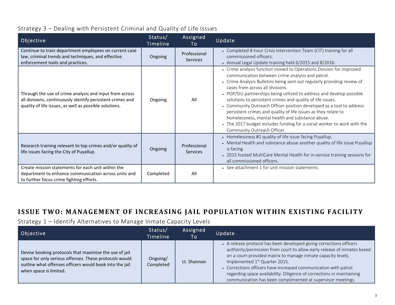## Strategy 3 – Dealing with Persistent Criminal and Quality of Life Issues

| Objective                                                                                                                                                                       | Status/<br>Timeline | Assigned<br>To                  | Update                                                                                                                                                                                                                                                                                                                                                                                                                                                                                                                                                                                                                                                                                |
|---------------------------------------------------------------------------------------------------------------------------------------------------------------------------------|---------------------|---------------------------------|---------------------------------------------------------------------------------------------------------------------------------------------------------------------------------------------------------------------------------------------------------------------------------------------------------------------------------------------------------------------------------------------------------------------------------------------------------------------------------------------------------------------------------------------------------------------------------------------------------------------------------------------------------------------------------------|
| Continue to train department employees on current case<br>law, criminal trends and techniques, and effective<br>enforcement tools and practices.                                | Ongoing             | Professional<br><b>Services</b> | • Completed 8-hour Crisis Intervention Team (CIT) training for all<br>commissioned officers.<br>• Annual Legal Update training held 6/2015 and 8/2016.                                                                                                                                                                                                                                                                                                                                                                                                                                                                                                                                |
| Through the use of crime analysis and input from across<br>all divisions, continuously identify persistent crimes and<br>quality of life issues, as well as possible solutions. | Ongoing             | All                             | • Crime analysis function moved to Operations Division for improved<br>communication between crime analysis and patrol.<br>• Crime Analysis Bulletins being sent out regularly providing review of<br>cases from across all divisions.<br>• POP/SIU partnerships being utilized to address and develop possible<br>solutions to persistent crimes and quality of life issues.<br>• Community Outreach Officer position developed as a tool to address<br>persistent crimes and quality of life issues as they relate to<br>homelessness, mental health and substance abuse.<br>• The 2017 budget includes funding for a social worker to work with the<br>Community Outreach Officer. |
| Research training relevant to top crimes and/or quality of<br>life issues facing the City of Puyallup.                                                                          | Ongoing             | Professional<br><b>Services</b> | • Homelessness #1 quality of life issue facing Puyallup.<br>• Mental Health and substance abuse another quality of life issue Puyallup<br>is facing.<br>• 2015 hosted MultiCare Mental Health for in-service training sessions for<br>all commissioned officers.                                                                                                                                                                                                                                                                                                                                                                                                                      |
| Create mission statements for each unit within the<br>department to enhance communication across units and<br>to further focus crime fighting efforts.                          | Completed           | All                             | • See attachment 1 for unit mission statements.                                                                                                                                                                                                                                                                                                                                                                                                                                                                                                                                                                                                                                       |

## **ISSUE TWO: MANAGEMENT O F INCREASING JAIL POPULATION WITHIN EXISTING FACILITY**

Strategy 1 – Identify Alternatives to Manage Inmate Capacity Levels

| Objective                                                                                                                                                                                             | Status/<br>Timeline   | Assigned<br>To | Update                                                                                                                                                                                                                                                                                                                                                                                                                                                                 |
|-------------------------------------------------------------------------------------------------------------------------------------------------------------------------------------------------------|-----------------------|----------------|------------------------------------------------------------------------------------------------------------------------------------------------------------------------------------------------------------------------------------------------------------------------------------------------------------------------------------------------------------------------------------------------------------------------------------------------------------------------|
| Devise booking protocols that maximize the use of jail<br>space for only serious offenses. These protocols would<br>outline what offenses officers would book into the jail<br>when space is limited. | Ongoing/<br>Completed | Lt. Shannon    | • A release protocol has been developed giving corrections officers<br>authority/permission from court to allow early release of inmates based<br>on a court-provided matrix to manage inmate capacity levels.<br>Implemented 1 <sup>st</sup> Quarter 2015.<br>• Corrections officers have increased communication with patrol<br>regarding space availability. Diligence of corrections in maintaining<br>communication has been complimented at supervisor meetings. |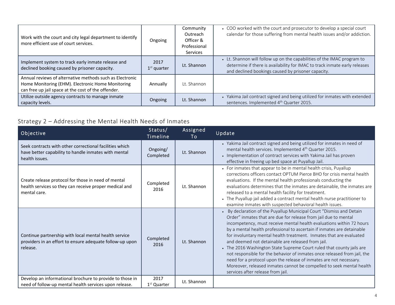| Work with the court and city legal department to identify<br>more efficient use of court services.                                                                   | Ongoing               | Community<br>Outreach<br>Officer &<br>Professional<br><b>Services</b> | • COO worked with the court and prosecutor to develop a special court<br>calendar for those suffering from mental health issues and/or addiction.                                                           |
|----------------------------------------------------------------------------------------------------------------------------------------------------------------------|-----------------------|-----------------------------------------------------------------------|-------------------------------------------------------------------------------------------------------------------------------------------------------------------------------------------------------------|
| Implement system to track early inmate release and<br>declined booking caused by prisoner capacity.                                                                  | 2017<br>$1st$ quarter | Lt. Shannon                                                           | • Lt. Shannon will follow up on the capabilities of the IMAC program to<br>determine if there is availability for IMAC to track inmate early releases<br>and declined bookings caused by prisoner capacity. |
| Annual reviews of alternative methods such as Electronic<br>Home Monitoring (EHM). Electronic Home Monitoring<br>can free up jail space at the cost of the offender. | Annually              | Lt. Shannon                                                           |                                                                                                                                                                                                             |
| Utilize outside agency contracts to manage inmate<br>capacity levels.                                                                                                | Ongoing               | Lt. Shannon                                                           | • Yakima Jail contract signed and being utilized for inmates with extended<br>sentences. Implemented 4 <sup>th</sup> Quarter 2015.                                                                          |

# Strategy 2 – Addressing the Mental Health Needs of Inmates

| Objective                                                                                                                         | Status/<br>Timeline   | Assigned<br>To | Update                                                                                                                                                                                                                                                                                                                                                                                                                                                                                                                                                                                                                                                                                                                                                        |
|-----------------------------------------------------------------------------------------------------------------------------------|-----------------------|----------------|---------------------------------------------------------------------------------------------------------------------------------------------------------------------------------------------------------------------------------------------------------------------------------------------------------------------------------------------------------------------------------------------------------------------------------------------------------------------------------------------------------------------------------------------------------------------------------------------------------------------------------------------------------------------------------------------------------------------------------------------------------------|
| Seek contracts with other correctional facilities which<br>have better capability to handle inmates with mental<br>health issues. | Ongoing/<br>Completed | Lt. Shannon    | • Yakima Jail contract signed and being utilized for inmates in need of<br>mental health services. Implemented 4 <sup>th</sup> Quarter 2015.<br>• Implementation of contract services with Yakima Jail has proven<br>effective in freeing up bed space at Puyallup Jail.                                                                                                                                                                                                                                                                                                                                                                                                                                                                                      |
| Create release protocol for those in need of mental<br>health services so they can receive proper medical and<br>mental care.     | Completed<br>2016     | Lt. Shannon    | • For inmates that appear to be in mental health crisis, Puyallup<br>corrections officers contact OPTUM Pierce BHO for crisis mental health<br>evaluations. If the mental health professionals conducting the<br>evaluations determines that the inmates are detainable, the inmates are<br>released to a mental health facility for treatment.<br>• The Puyallup jail added a contract mental health nurse practitioner to<br>examine inmates with suspected behavioral health issues.                                                                                                                                                                                                                                                                       |
| Continue partnership with local mental health service<br>providers in an effort to ensure adequate follow-up upon<br>release.     | Completed<br>2016     | Lt. Shannon    | • By declaration of the Puyallup Municipal Court "Dismiss and Detain<br>Order" inmates that are due for release from jail due to mental<br>incompetency, must receive mental health evaluations within 72 hours<br>by a mental health professional to ascertain if inmates are detainable<br>for involuntary mental health treatment. Inmates that are evaluated<br>and deemed not detainable are released from jail.<br>• The 2016 Washington State Supreme Court ruled that county jails are<br>not responsible for the behavior of inmates once released from jail, the<br>need for a protocol upon the release of inmates are not necessary.<br>Moreover, released inmates cannot be compelled to seek mental health<br>services after release from jail. |
| Develop an informational brochure to provide to those in<br>need of follow-up mental health services upon release.                | 2017<br>$1st$ Quarter | Lt. Shannon    |                                                                                                                                                                                                                                                                                                                                                                                                                                                                                                                                                                                                                                                                                                                                                               |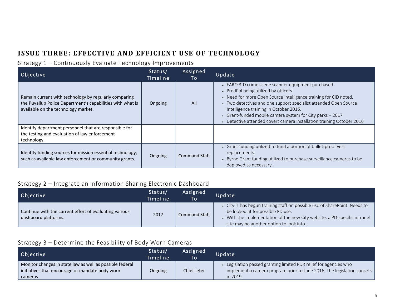# **ISSUE THREE: EFFECTIVE AND EFFICIENT USE OF TECHNOLOGY**

## Strategy 1 – Continuously Evaluate Technology Improvements

| Objective                                                                                                                                                  | Status/<br>Timeline | Assigned<br>To       | Update                                                                                                                                                                                                                                                                                                                                                                                                              |
|------------------------------------------------------------------------------------------------------------------------------------------------------------|---------------------|----------------------|---------------------------------------------------------------------------------------------------------------------------------------------------------------------------------------------------------------------------------------------------------------------------------------------------------------------------------------------------------------------------------------------------------------------|
| Remain current with technology by regularly comparing<br>the Puyallup Police Department's capabilities with what is<br>available on the technology market. | Ongoing             | All                  | • FARO 3-D crime scene scanner equipment purchased.<br>• PredPol being utilized by officers<br>• Need for more Open Source Intelligence training for CID noted.<br>• Two detectives and one support specialist attended Open Source<br>Intelligence training in October 2016.<br>• Grant-funded mobile camera system for City parks - 2017<br>• Detective attended covert camera installation training October 2016 |
| Identify department personnel that are responsible for<br>the testing and evaluation of law enforcement<br>technology.                                     |                     |                      |                                                                                                                                                                                                                                                                                                                                                                                                                     |
| Identify funding sources for mission essential technology,<br>such as available law enforcement or community grants.                                       | Ongoing             | <b>Command Staff</b> | • Grant funding utilized to fund a portion of bullet-proof vest<br>replacements.<br>• Byrne Grant funding utilized to purchase surveillance cameras to be<br>deployed as necessary.                                                                                                                                                                                                                                 |

## Strategy 2 – Integrate an Information Sharing Electronic Dashboard

| Objective                                                                      | Status/<br>Timeline | Assigned<br>To | Update                                                                                                                                                                                                                                 |
|--------------------------------------------------------------------------------|---------------------|----------------|----------------------------------------------------------------------------------------------------------------------------------------------------------------------------------------------------------------------------------------|
| Continue with the current effort of evaluating various<br>dashboard platforms. | 2017                | Command Staff  | • City IT has begun training staff on possible use of SharePoint. Needs to<br>be looked at for possible PD use.<br>With the implementation of the new City website, a PD-specific intranet<br>site may be another option to look into. |

## Strategy 3 – Determine the Feasibility of Body Worn Cameras

| Objective                                                                                                   | Status/<br>Timeline | Assigned<br>To. | Update                                                                                                                                      |
|-------------------------------------------------------------------------------------------------------------|---------------------|-----------------|---------------------------------------------------------------------------------------------------------------------------------------------|
| Monitor changes in state law as well as possible federal<br>initiatives that encourage or mandate body worn | Ongoing             | Chief Jeter     | • Legislation passed granting limited PDR relief for agencies who<br>implement a camera program prior to June 2016. The legislation sunsets |
| cameras.                                                                                                    |                     |                 | in 2019.                                                                                                                                    |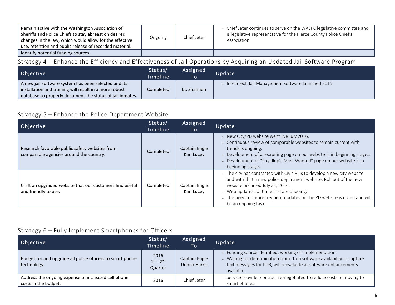| Remain active with the Washington Association of<br>Sheriffs and Police Chiefs to stay abreast on desired<br>changes in the law, which would allow for the effective<br>use, retention and public release of recorded material. | Ongoing | Chief Jeter | • Chief Jeter continues to serve on the WASPC legislative committee and<br>is legislative representative for the Pierce County Police Chief's<br>Association. |
|---------------------------------------------------------------------------------------------------------------------------------------------------------------------------------------------------------------------------------|---------|-------------|---------------------------------------------------------------------------------------------------------------------------------------------------------------|
| Identify potential funding sources.                                                                                                                                                                                             |         |             |                                                                                                                                                               |

## Strategy 4 – Enhance the Efficiency and Effectiveness of Jail Operations by Acquiring an Updated Jail Software Program

| Objective                                                 | Status/<br>Timeline | Assigned<br><b>To</b> | Update                                               |
|-----------------------------------------------------------|---------------------|-----------------------|------------------------------------------------------|
| A new jail software system has been selected and its      |                     |                       | • IntelliTech Jail Management software launched 2015 |
| installation and training will result in a more robust    | Completed           | Lt. Shannon           |                                                      |
| database to properly document the status of jail inmates. |                     |                       |                                                      |

## Strategy 5 – Enhance the Police Department Website

| Objective                                                                                 | Status/<br>Timeline | Assigned<br>Τo              | Update                                                                                                                                                                                                                                                                                                                         |
|-------------------------------------------------------------------------------------------|---------------------|-----------------------------|--------------------------------------------------------------------------------------------------------------------------------------------------------------------------------------------------------------------------------------------------------------------------------------------------------------------------------|
| Research favorable public safety websites from<br>comparable agencies around the country. | Completed           | Captain Engle<br>Kari Lucey | • New City/PD website went live July 2016.<br>• Continuous review of comparable websites to remain current with<br>trends is ongoing.<br>• Development of a recruiting page on our website in in beginning stages.<br>• Development of "Puyallup's Most Wanted" page on our website is in<br>beginning stages.                 |
| Craft an upgraded website that our customers find useful<br>and friendly to use.          | Completed           | Captain Engle<br>Kari Lucey | • The city has contracted with Civic Plus to develop a new city website<br>and with that a new police department website. Roll out of the new<br>website occurred July 21, 2016.<br>• Web updates continue and are ongoing.<br>• The need for more frequent updates on the PD website is noted and will<br>be an ongoing task. |

## Strategy 6 – Fully Implement Smartphones for Officers

| Objective                                                                   | Status/<br>Timeline                    | Assigned<br>To                | Update                                                                                                                                                                                                             |
|-----------------------------------------------------------------------------|----------------------------------------|-------------------------------|--------------------------------------------------------------------------------------------------------------------------------------------------------------------------------------------------------------------|
| Budget for and upgrade all police officers to smart phone<br>technology.    | 2016<br>$1^{st}$ - $2^{nd}$<br>Quarter | Captain Engle<br>Donna Harris | • Funding source identified, working on implementation<br>• Waiting for determination from IT on software availability to capture<br>text messages for PDR, will reevaluate as software enhancements<br>available. |
| Address the ongoing expense of increased cell phone<br>costs in the budget. | 2016                                   | Chief Jeter                   | • Service provider contract re-negotiated to reduce costs of moving to<br>smart phones.                                                                                                                            |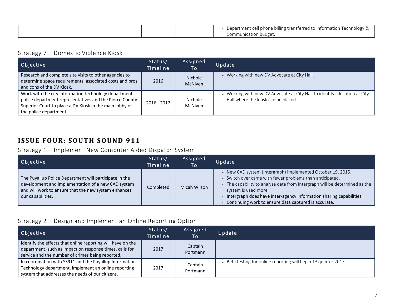|  | Department cell phone billing transferred to Information Technology & |
|--|-----------------------------------------------------------------------|
|  | Communication budget.                                                 |

#### Strategy 7 – Domestic Violence Kiosk

| Objective                                                                                                                                                                                             | Status/<br>Timeline | Assigned<br>To                   | Update                                                                                                            |
|-------------------------------------------------------------------------------------------------------------------------------------------------------------------------------------------------------|---------------------|----------------------------------|-------------------------------------------------------------------------------------------------------------------|
| Research and complete site visits to other agencies to<br>determine space requirements, associated costs and pros<br>and cons of the DV Kiosk.                                                        | 2016                | <b>Nichole</b><br><b>McNiven</b> | • Working with new DV Advocate at City Hall.                                                                      |
| Work with the city information technology department,<br>police department representatives and the Pierce County<br>Superior Court to place a DV Kiosk in the main lobby of<br>the police department. | $2016 - 2017$       | Nichole<br><b>McNiven</b>        | • Working with new DV Advocate at City Hall to identify a location at City<br>Hall where the kiosk can be placed. |

## **ISSUE FOUR: SOUTH SOUND 911**

Strategy 1 – Implement New Computer Aided Dispatch System

| Objective                                                                                                                                                                                 | Status/<br><b>Timeline</b> | Assigned<br>To | Update                                                                                                                                                                                                                                                                                                                                                           |
|-------------------------------------------------------------------------------------------------------------------------------------------------------------------------------------------|----------------------------|----------------|------------------------------------------------------------------------------------------------------------------------------------------------------------------------------------------------------------------------------------------------------------------------------------------------------------------------------------------------------------------|
| The Puyallup Police Department will participate in the<br>development and implementation of a new CAD system<br>and will work to ensure that the new system enhances<br>our capabilities. | Completed                  | Micah Wilson   | • New CAD system (Intergraph) implemented October 19, 2015.<br>• Switch over came with fewer problems than anticipated.<br>• The capability to analyze data from Intergraph will be determined as the<br>system is used more.<br>• Intergraph does have inter-agency information sharing capabilities.<br>• Continuing work to ensure data captured is accurate. |

#### Strategy 2 – Design and Implement an Online Reporting Option

| Objective                                                                                                                                                                  | Status/<br>Timeline | Assigned<br>To I    | Update                                                             |
|----------------------------------------------------------------------------------------------------------------------------------------------------------------------------|---------------------|---------------------|--------------------------------------------------------------------|
| Identify the effects that online reporting will have on the<br>department, such as impact on response times, calls for<br>service and the number of crimes being reported. | 2017                | Captain<br>Portmann |                                                                    |
| In coordination with SS911 and the Puyallup Information<br>Technology department, implement an online reporting<br>system that addresses the needs of our citizens.        | 2017                | Captain<br>Portmann | • Beta testing for online reporting will begin $1st$ quarter 2017. |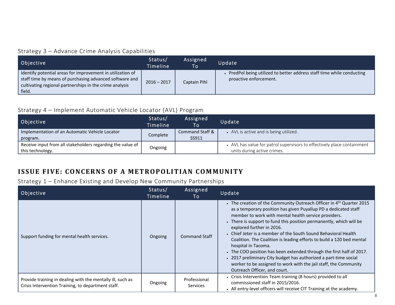## Strategy 3 – Advance Crime Analysis Capabilities

| Objective                                                                                                                                                                                  | Status/<br>Timeline | Assigned<br>To | Update                                                                                         |
|--------------------------------------------------------------------------------------------------------------------------------------------------------------------------------------------|---------------------|----------------|------------------------------------------------------------------------------------------------|
| Identify potential areas for improvement in utilization of<br>staff time by means of purchasing advanced software and<br>cultivating regional partnerships in the crime analysis<br>field. | $2016 - 2017$       | Captain Pihl   | PredPol being utilized to better address staff time while conducting<br>proactive enforcement. |

### Strategy 4 – Implement Automatic Vehicle Locator (AVL) Program

| Objective                                                                      | Status/<br>Timeline | Assigned<br>To           | Update                                                                                                 |
|--------------------------------------------------------------------------------|---------------------|--------------------------|--------------------------------------------------------------------------------------------------------|
| Implementation of an Automatic Vehicle Locator<br>program.                     | Complete            | Command Staff &<br>SS911 | • AVL is active and is being utilized.                                                                 |
| Receive input from all stakeholders regarding the value of<br>this technology. | Ongoing             |                          | • AVL has value for patrol supervisors to effectively place containment<br>units during active crimes. |

## **ISSUE FIVE: CONCERNS OF A METROPOLITIAN COMMUNITY**

## Strategy 1 – Enhance Existing and Develop New Community Partnerships

| Objective                                                                                                        | Status/<br>Timeline | Assigned<br>To                  | Update                                                                                                                                                                                                                                                                                                                                                                                                                                                                                                                                                                                                                                                                                                                            |
|------------------------------------------------------------------------------------------------------------------|---------------------|---------------------------------|-----------------------------------------------------------------------------------------------------------------------------------------------------------------------------------------------------------------------------------------------------------------------------------------------------------------------------------------------------------------------------------------------------------------------------------------------------------------------------------------------------------------------------------------------------------------------------------------------------------------------------------------------------------------------------------------------------------------------------------|
| Support funding for mental health services.                                                                      | Ongoing             | <b>Command Staff</b>            | • The creation of the Community Outreach Officer in 4 <sup>th</sup> Quarter 2015<br>as a temporary position has given Puyallup PD a dedicated staff<br>member to work with mental health service providers.<br>• There is support to fund this position permanently, which will be<br>explored further in 2016.<br>• Chief Jeter is a member of the South Sound Behavioral Health<br>Coalition. The Coalition is leading efforts to build a 120 bed mental<br>hospital in Tacoma.<br>. The COO position has been extended through the first half of 2017.<br>• 2017 preliminary City budget has authorized a part-time social<br>worker to be assigned to work with the jail staff, the Community<br>Outreach Officer, and court. |
| Provide training in dealing with the mentally ill, such as<br>Crisis Intervention Training, to department staff. | Ongoing             | Professional<br><b>Services</b> | • Crisis Intervention Team training (8 hours) provided to all<br>commissioned staff in 2015/2016.<br>• All entry-level officers will receive CIT Training at the academy.                                                                                                                                                                                                                                                                                                                                                                                                                                                                                                                                                         |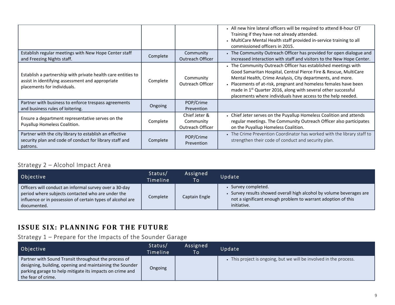|                                                                                                                                                 |          |                                                | • All new hire lateral officers will be required to attend 8-hour CIT<br>Training if they have not already attended.<br>• MultiCare Mental Health staff provided in-service training to all<br>commissioned officers in 2015.                                                                                                                                                                                     |
|-------------------------------------------------------------------------------------------------------------------------------------------------|----------|------------------------------------------------|-------------------------------------------------------------------------------------------------------------------------------------------------------------------------------------------------------------------------------------------------------------------------------------------------------------------------------------------------------------------------------------------------------------------|
| Establish regular meetings with New Hope Center staff<br>and Freezing Nights staff.                                                             | Complete | Community<br><b>Outreach Officer</b>           | • The Community Outreach Officer has provided for open dialogue and<br>increased interaction with staff and visitors to the New Hope Center.                                                                                                                                                                                                                                                                      |
| Establish a partnership with private health care entities to<br>assist in identifying assessment and appropriate<br>placements for individuals. | Complete | Community<br>Outreach Officer                  | • The Community Outreach Officer has established meetings with<br>Good Samaritan Hospital, Central Pierce Fire & Rescue, MultiCare<br>Mental Health, Crime Analysis, City departments, and more.<br>• Placements of at-risk, pregnant and homeless females have been<br>made in 1 <sup>st</sup> Quarter 2016, along with several other successful<br>placements where individuals have access to the help needed. |
| Partner with business to enforce trespass agreements<br>and business rules of loitering.                                                        | Ongoing  | POP/Crime<br>Prevention                        |                                                                                                                                                                                                                                                                                                                                                                                                                   |
| Ensure a department representative serves on the<br>Puyallup Homeless Coalition.                                                                | Complete | Chief Jeter &<br>Community<br>Outreach Officer | • Chief Jeter serves on the Puyallup Homeless Coalition and attends<br>regular meetings. The Community Outreach Officer also participates<br>on the Puyallup Homeless Coalition.                                                                                                                                                                                                                                  |
| Partner with the city library to establish an effective<br>security plan and code of conduct for library staff and<br>patrons.                  | Complete | POP/Crime<br>Prevention                        | • The Crime Prevention Coordinator has worked with the library staff to<br>strengthen their code of conduct and security plan.                                                                                                                                                                                                                                                                                    |

## Strategy 2 – Alcohol Impact Area

| Objective                                                                                                                                                                                | Status/<br>Timeline | Assigned<br>To | Update                                                                                                                                                                 |
|------------------------------------------------------------------------------------------------------------------------------------------------------------------------------------------|---------------------|----------------|------------------------------------------------------------------------------------------------------------------------------------------------------------------------|
| Officers will conduct an informal survey over a 30-day<br>period where subjects contacted who are under the<br>influence or in possession of certain types of alcohol are<br>documented. | Complete            | Captain Engle  | Survey completed.<br>Survey results showed overall high alcohol by volume beverages are<br>not a significant enough problem to warrant adoption of this<br>initiative. |

## **ISSUE SIX: PLANNING FOR THE FUTURE**

## Strategy 1 – Prepare for the Impacts of the Sounder Garage

| Objective                                                                                                                                                                                          | Status/<br>Timeline | Assigned<br>To | Update                                                           |
|----------------------------------------------------------------------------------------------------------------------------------------------------------------------------------------------------|---------------------|----------------|------------------------------------------------------------------|
| Partner with Sound Transit throughout the process of<br>designing, building, opening and maintaining the Sounder<br>parking garage to help mitigate its impacts on crime and<br>the fear of crime. | Ongoing             |                | This project is ongoing, but we will be involved in the process. |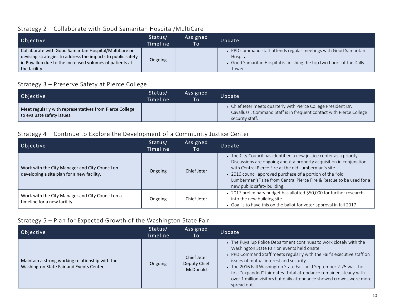#### Strategy 2 – Collaborate with Good Samaritan Hospital/MultiCare

| Objective                                                                                                                                                                                                    | Status/<br>Timeline | Assigned<br>To' | Update                                                                                                                                                            |
|--------------------------------------------------------------------------------------------------------------------------------------------------------------------------------------------------------------|---------------------|-----------------|-------------------------------------------------------------------------------------------------------------------------------------------------------------------|
| Collaborate with Good Samaritan Hospital/MultiCare on<br>devising strategies to address the impacts to public safety $\parallel$<br>in Puyallup due to the increased volumes of patients at<br>the facility. | Ongoing             |                 | • PPD command staff attends regular meetings with Good Samaritan<br>Hospital.<br>• Good Samaritan Hospital is finishing the top two floors of the Dally<br>Tower. |

## Strategy 3 – Preserve Safety at Pierce College

| Objective                                                                             | Status/<br>Timeline | Assigned<br>To. | Update                                                                                                                                                   |
|---------------------------------------------------------------------------------------|---------------------|-----------------|----------------------------------------------------------------------------------------------------------------------------------------------------------|
| Meet regularly with representatives from Pierce College<br>to evaluate safety issues. |                     |                 | Chief Jeter meets quarterly with Pierce College President Dr.<br>Cavalluzzi. Command Staff is in frequent contact with Pierce College<br>security staff. |

## Strategy 4 – Continue to Explore the Development of <sup>a</sup> Community Justice Center

| Objective                                                                                    | Status/<br>Timeline | Assigned<br>To | Update                                                                                                                                                                                                                                                                                                                                                                  |
|----------------------------------------------------------------------------------------------|---------------------|----------------|-------------------------------------------------------------------------------------------------------------------------------------------------------------------------------------------------------------------------------------------------------------------------------------------------------------------------------------------------------------------------|
| Work with the City Manager and City Council on<br>developing a site plan for a new facility. | Ongoing             | Chief Jeter    | • The City Council has identified a new justice center as a priority.<br>Discussions are ongoing about a property acquisition in conjunction<br>with Central Pierce Fire at the old Lumberman's site.<br>2016 council approved purchase of a portion of the "old<br>Lumberman's" site from Central Pierce Fire & Rescue to be used for a<br>new public safety building. |
| Work with the City Manager and City Council on a<br>timeline for a new facility.             | Ongoing             | Chief Jeter    | • 2017 preliminary budget has allotted \$50,000 for further research<br>into the new building site.<br>• Goal is to have this on the ballot for voter approval in fall 2017.                                                                                                                                                                                            |

## Strategy 5 – Plan for Expected Growth of the Washington State Fair

| Objective                                                                                   | Status/<br>Timeline | Assigned<br>To                          | Update                                                                                                                                                                                                                                                                                                                                                                                                                                                                     |
|---------------------------------------------------------------------------------------------|---------------------|-----------------------------------------|----------------------------------------------------------------------------------------------------------------------------------------------------------------------------------------------------------------------------------------------------------------------------------------------------------------------------------------------------------------------------------------------------------------------------------------------------------------------------|
| Maintain a strong working relationship with the<br>Washington State Fair and Events Center. | Ongoing             | Chief Jeter<br>Deputy Chief<br>McDonald | • The Puyallup Police Department continues to work closely with the<br>Washington State Fair on events held onsite.<br>• PPD Command Staff meets regularly with the Fair's executive staff on<br>issues of mutual interest and security.<br>• The 2016 Fall Washington State Fair held September 2-25 was the<br>first "expanded" fair dates. Total attendance remained steady with<br>over 1 million visitors but daily attendance showed crowds were more<br>spread out. |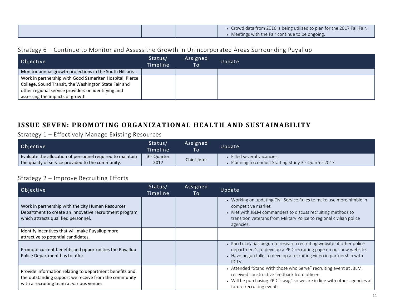|  | Crowd data from 2016 is being utilized to plan for the 2017 Fall Fair.<br>Meetings with the Fair continue to be ongoing. |
|--|--------------------------------------------------------------------------------------------------------------------------|
|  |                                                                                                                          |

#### Strategy 6 – Continue to Monitor and Assess the Growth in Unincorporated Areas Surrounding Puyallup

| Objective                                                                                                                                                                                                    | Status/<br>Timeline | Assigned<br>To | Update |
|--------------------------------------------------------------------------------------------------------------------------------------------------------------------------------------------------------------|---------------------|----------------|--------|
| Monitor annual growth projections in the South Hill area.                                                                                                                                                    |                     |                |        |
| Work in partnership with Good Samaritan Hospital, Pierce<br>College, Sound Transit, the Washington State Fair and<br>other regional service providers on identifying and<br>assessing the impacts of growth. |                     |                |        |

## **ISSUE SEVEN: PROMOTING ORGANIZATIONAL HEALTH AND SUSTAINABILITY**

#### Strategy 1 – Effectively Manage Existing Resources

| Objective                                                 | Status/<br>\Timeline\   | Assigned<br>To <sup>1</sup> | Update                                               |
|-----------------------------------------------------------|-------------------------|-----------------------------|------------------------------------------------------|
| Evaluate the allocation of personnel required to maintain | 3 <sup>rd</sup> Quarter | Chief Jeter                 | Filled several vacancies.                            |
| the quality of service provided to the community.         | 2017                    |                             | Planning to conduct Staffing Study 3rd Quarter 2017. |

## Strategy 2 – Improve Recruiting Efforts

| Objective                                                                                                                                                     | Status/<br>Timeline | Assigned<br>To | Update                                                                                                                                                                                                                                          |
|---------------------------------------------------------------------------------------------------------------------------------------------------------------|---------------------|----------------|-------------------------------------------------------------------------------------------------------------------------------------------------------------------------------------------------------------------------------------------------|
| Work in partnership with the city Human Resources<br>Department to create an innovative recruitment program<br>which attracts qualified personnel.            |                     |                | • Working on updating Civil Service Rules to make use more nimble in<br>competitive market.<br>• Met with JBLM commanders to discuss recruiting methods to<br>transition veterans from Military Police to regional civilian police<br>agencies. |
| Identify incentives that will make Puyallup more<br>attractive to potential candidates.                                                                       |                     |                |                                                                                                                                                                                                                                                 |
| Promote current benefits and opportunities the Puyallup<br>Police Department has to offer.                                                                    |                     |                | • Kari Lucey has begun to research recruiting website of other police<br>department's to develop a PPD recruiting page on our new website.<br>• Have begun talks to develop a recruiting video in partnership with<br>PCTV.                     |
| Provide information relating to department benefits and<br>the outstanding support we receive from the community<br>with a recruiting team at various venues. |                     |                | • Attended "Stand With those who Serve" recruiting event at JBLM,<br>received constructive feedback from officers.<br>• Will be purchasing PPD "swag" so we are in line with other agencies at<br>future recruiting events.                     |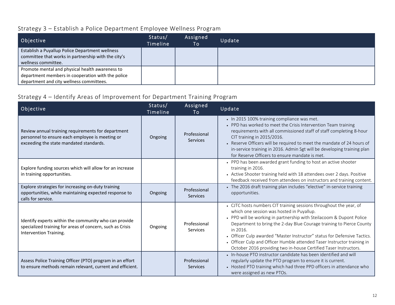# Strategy 3 – Establish <sup>a</sup> Police Department Employee Wellness Program

| Objective                                                                                                                                        | Status/<br>Timeline | Assigned<br>To | Update |
|--------------------------------------------------------------------------------------------------------------------------------------------------|---------------------|----------------|--------|
| Establish a Puyallup Police Department wellness<br>committee that works in partnership with the city's<br>wellness committee.                    |                     |                |        |
| Promote mental and physical health awareness to<br>department members in cooperation with the police<br>department and city wellness committees. |                     |                |        |

## Strategy 4 – Identify Areas of Improvement for Department Training Program

| Objective                                                                                                                                        | Status/<br>Timeline | Assigned<br>To                  | Update                                                                                                                                                                                                                                                                                                                                                                                                                                                                                                 |
|--------------------------------------------------------------------------------------------------------------------------------------------------|---------------------|---------------------------------|--------------------------------------------------------------------------------------------------------------------------------------------------------------------------------------------------------------------------------------------------------------------------------------------------------------------------------------------------------------------------------------------------------------------------------------------------------------------------------------------------------|
| Review annual training requirements for department<br>personnel to ensure each employee is meeting or<br>exceeding the state mandated standards. | Ongoing             | Professional<br><b>Services</b> | • In 2015 100% training compliance was met.<br>• PPD has worked to meet the Crisis Intervention Team training<br>requirements with all commissioned staff of staff completing 8-hour<br>CIT training in 2015/2016.<br>• Reserve Officers will be required to meet the mandate of 24 hours of<br>in-service training in 2016. Admin Sgt will be developing training plan<br>for Reserve Officers to ensure mandate is met.                                                                              |
| Explore funding sources which will allow for an increase<br>in training opportunities.                                                           |                     |                                 | • PPD has been awarded grant funding to host an active shooter<br>training in 2016.<br>• Active Shooter training held with 18 attendees over 2 days. Positive<br>feedback received from attendees on instructors and training content.                                                                                                                                                                                                                                                                 |
| Explore strategies for increasing on-duty training<br>opportunities, while maintaining expected response to<br>calls for service.                | Ongoing             | Professional<br>Services        | • The 2016 draft training plan includes "elective" in-service training<br>opportunities.                                                                                                                                                                                                                                                                                                                                                                                                               |
| Identify experts within the community who can provide<br>specialized training for areas of concern, such as Crisis<br>Intervention Training.     | Ongoing             | Professional<br>Services        | • CJTC hosts numbers CIT training sessions throughout the year, of<br>which one session was hosted in Puyallup.<br>• PPD will be working in partnership with Steilacoom & Dupont Police<br>Department to bring the 2-day Blue Courage training to Pierce County<br>in 2016.<br>• Officer Culp awarded "Master Instructor" status for Defensive Tactics.<br>• Officer Culp and Officer Humble attended Taser Instructor training in<br>October 2016 providing two in-house Certified Taser Instructors. |
| Assess Police Training Officer (PTO) program in an effort<br>to ensure methods remain relevant, current and efficient.                           |                     | Professional<br>Services        | • In-house PTO instructor candidate has been identified and will<br>regularly update the PTO program to ensure it is current.<br>• Hosted PTO training which had three PPD officers in attendance who<br>were assigned as new PTOs.                                                                                                                                                                                                                                                                    |